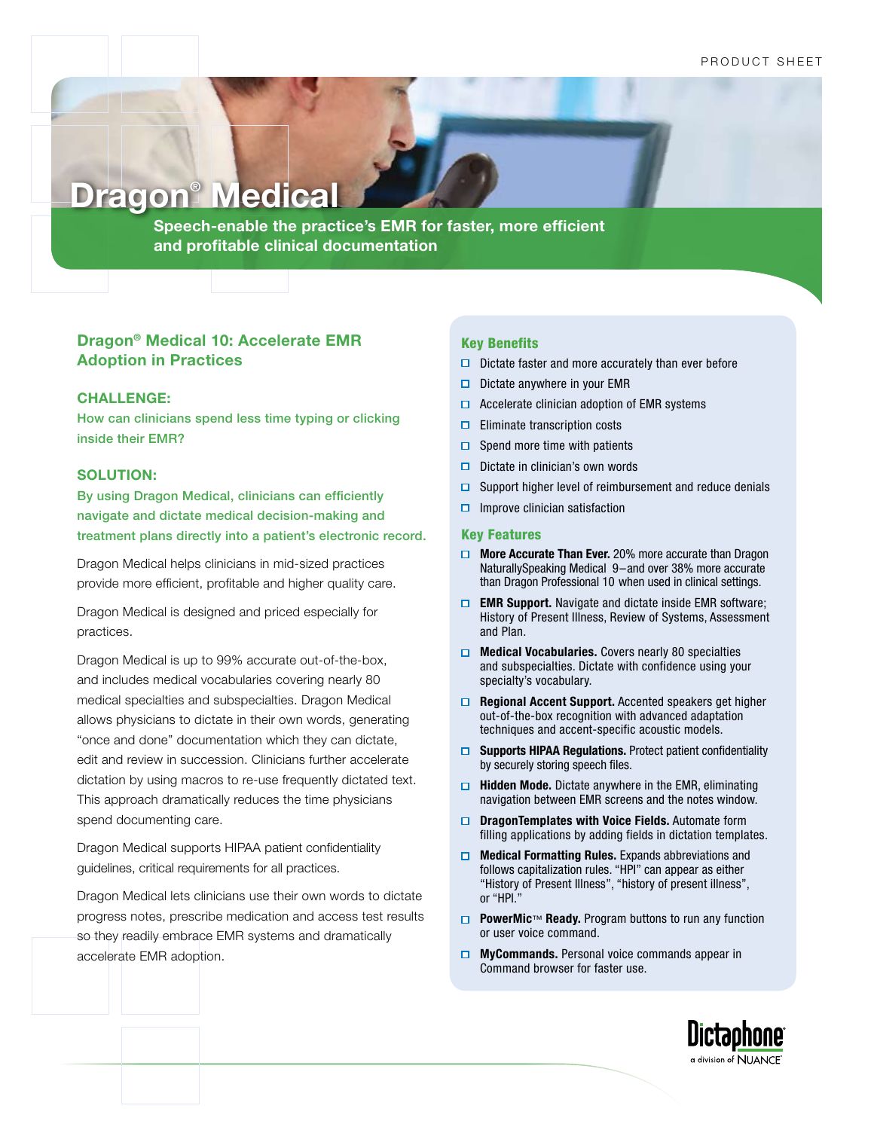# **Dragon® Medical**

**Speech-enable the practice's EMR for faster, more efficient and profitable clinical documentation** 

# **Dragon® Medical 10: Accelerate EMR Adoption in Practices**

#### **CHALLENGE:**

How can clinicians spend less time typing or clicking inside their EMR?

### **SOLUTION:**

By using Dragon Medical, clinicians can efficiently navigate and dictate medical decision-making and treatment plans directly into a patient's electronic record.

Dragon Medical helps clinicians in mid-sized practices provide more efficient, profitable and higher quality care.

Dragon Medical is designed and priced especially for practices.

Dragon Medical is up to 99% accurate out-of-the-box, and includes medical vocabularies covering nearly 80 medical specialties and subspecialties. Dragon Medical allows physicians to dictate in their own words, generating "once and done" documentation which they can dictate, edit and review in succession. Clinicians further accelerate dictation by using macros to re-use frequently dictated text. This approach dramatically reduces the time physicians spend documenting care.

Dragon Medical supports HIPAA patient confidentiality guidelines, critical requirements for all practices.

Dragon Medical lets clinicians use their own words to dictate progress notes, prescribe medication and access test results so they readily embrace EMR systems and dramatically accelerate EMR adoption.

#### Key Benefits

- $\Box$  Dictate faster and more accurately than ever before
- $\Box$  Dictate anywhere in your EMR
- $\Box$  Accelerate clinician adoption of EMR systems
- $\Box$  Eliminate transcription costs
- $\Box$  Spend more time with patients
- $\Box$  Dictate in clinician's own words
- $\Box$  Support higher level of reimbursement and reduce denials
- $\Box$  Improve clinician satisfaction

#### Key Features

- **More Accurate Than Ever.** 20% more accurate than Dragon NaturallySpeaking Medical 9–and over 38% more accurate than Dragon Professional 10 when used in clinical settings.
- **EMR Support.** Navigate and dictate inside EMR software; History of Present Illness, Review of Systems, Assessment and Plan.
- **Medical Vocabularies.** Covers nearly 80 specialties and subspecialties. Dictate with confidence using your specialty's vocabulary.
- **Regional Accent Support.** Accented speakers get higher out-of-the-box recognition with advanced adaptation techniques and accent-specific acoustic models.
- **G** Supports HIPAA Regulations. Protect patient confidentiality by securely storing speech files.
- **Hidden Mode.** Dictate anywhere in the EMR, eliminating navigation between EMR screens and the notes window.
- **D** DragonTemplates with Voice Fields. Automate form filling applications by adding fields in dictation templates.
- **Medical Formatting Rules.** Expands abbreviations and follows capitalization rules. "HPI" can appear as either "History of Present Illness", "history of present illness", or "HPI."
- **PowerMic**™ **Ready.** Program buttons to run any function or user voice command.
- **MyCommands.** Personal voice commands appear in Command browser for faster use.

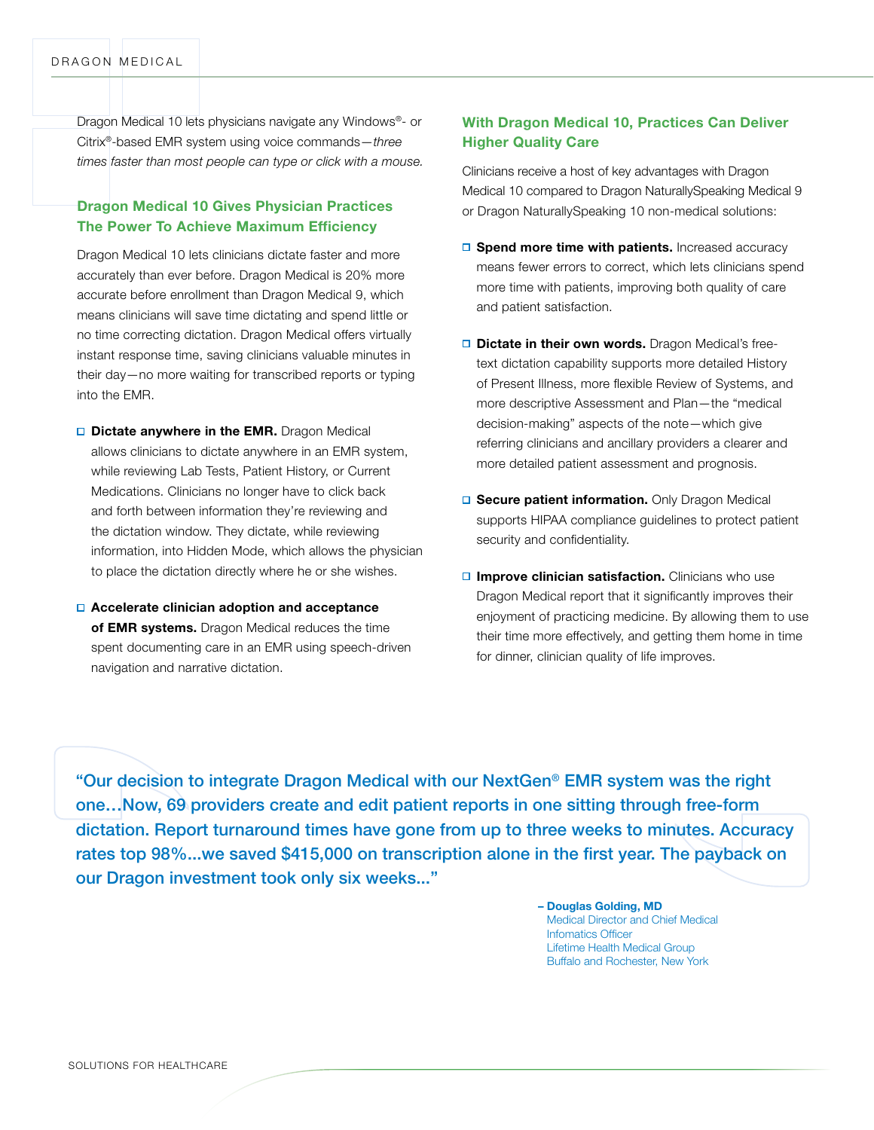Dragon Medical 10 lets physicians navigate any Windows®- or Citrix®-based EMR system using voice commands—*three times faster than most people can type or click with a mouse.*

## **Dragon Medical 10 Gives Physician Practices The Power To Achieve Maximum Efficiency**

Dragon Medical 10 lets clinicians dictate faster and more accurately than ever before. Dragon Medical is 20% more accurate before enrollment than Dragon Medical 9, which means clinicians will save time dictating and spend little or no time correcting dictation. Dragon Medical offers virtually instant response time, saving clinicians valuable minutes in their day—no more waiting for transcribed reports or typing into the EMR.

- **D** Dictate anywhere in the EMR. Dragon Medical allows clinicians to dictate anywhere in an EMR system, while reviewing Lab Tests, Patient History, or Current Medications. Clinicians no longer have to click back and forth between information they're reviewing and the dictation window. They dictate, while reviewing information, into Hidden Mode, which allows the physician to place the dictation directly where he or she wishes.
- **Accelerate clinician adoption and acceptance of EMR systems.** Dragon Medical reduces the time spent documenting care in an EMR using speech-driven navigation and narrative dictation.

## **With Dragon Medical 10, Practices Can Deliver Higher Quality Care**

Clinicians receive a host of key advantages with Dragon Medical 10 compared to Dragon NaturallySpeaking Medical 9 or Dragon NaturallySpeaking 10 non-medical solutions:

- **□ Spend more time with patients.** Increased accuracy means fewer errors to correct, which lets clinicians spend more time with patients, improving both quality of care and patient satisfaction.
- □ **Dictate in their own words.** Dragon Medical's freetext dictation capability supports more detailed History of Present Illness, more flexible Review of Systems, and more descriptive Assessment and Plan—the "medical decision-making" aspects of the note—which give referring clinicians and ancillary providers a clearer and more detailed patient assessment and prognosis.
- **□ Secure patient information.** Only Dragon Medical supports HIPAA compliance guidelines to protect patient security and confidentiality.
- **□ Improve clinician satisfaction.** Clinicians who use Dragon Medical report that it significantly improves their enjoyment of practicing medicine. By allowing them to use their time more effectively, and getting them home in time for dinner, clinician quality of life improves.

"Our decision to integrate Dragon Medical with our NextGen® EMR system was the right one…Now, 69 providers create and edit patient reports in one sitting through free-form dictation. Report turnaround times have gone from up to three weeks to minutes. Accuracy rates top 98%...we saved \$415,000 on transcription alone in the first year. The payback on our Dragon investment took only six weeks..."

> **– Douglas Golding, MD** Medical Director and Chief Medical Infomatics Officer Lifetime Health Medical Group Buffalo and Rochester, New York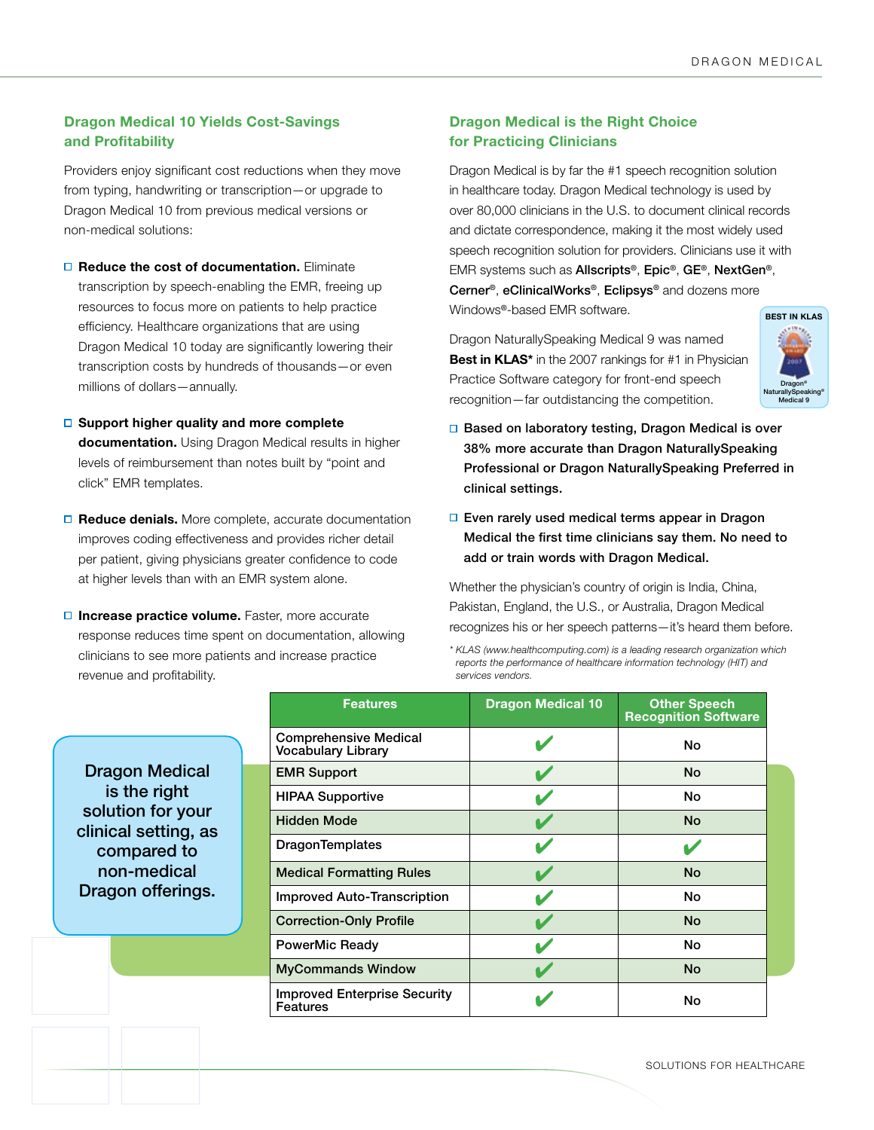## **Dragon Medical 10 Yields Cost-Savings and Profitability**

Providers enjoy significant cost reductions when they move from typing, handwriting or transcription—or upgrade to Dragon Medical 10 from previous medical versions or non-medical solutions:

- **□ Reduce the cost of documentation.** Eliminate transcription by speech-enabling the EMR, freeing up resources to focus more on patients to help practice efficiency. Healthcare organizations that are using Dragon Medical 10 today are significantly lowering their transcription costs by hundreds of thousands—or even millions of dollars—annually.
- **Support higher quality and more complete documentation.** Using Dragon Medical results in higher levels of reimbursement than notes built by "point and click" EMR templates.
- □ Reduce denials. More complete, accurate documentation improves coding effectiveness and provides richer detail per patient, giving physicians greater confidence to code at higher levels than with an EMR system alone.
- **Increase practice volume.** Faster, more accurate response reduces time spent on documentation, allowing clinicians to see more patients and increase practice revenue and profitability.

## **Dragon Medical is the Right Choice for Practicing Clinicians**

Dragon Medical is by far the #1 speech recognition solution in healthcare today. Dragon Medical technology is used by over 80,000 clinicians in the U.S. to document clinical records and dictate correspondence, making it the most widely used speech recognition solution for providers. Clinicians use it with EMR systems such as Allscripts®, Epic®, GE®, NextGen®, Cerner®, eClinicalWorks®, Eclipsys® and dozens more Windows®-based EMR software.

Dragon NaturallySpeaking Medical 9 was named **Best in KLAS\*** in the 2007 rankings for #1 in Physician Practice Software category for front-end speech recognition—far outdistancing the competition.



- □ Based on laboratory testing, Dragon Medical is over 38% more accurate than Dragon NaturallySpeaking Professional or Dragon NaturallySpeaking Preferred in clinical settings.
- □ Even rarely used medical terms appear in Dragon Medical the first time clinicians say them. No need to add or train words with Dragon Medical.

Whether the physician's country of origin is India, China, Pakistan, England, the U.S., or Australia, Dragon Medical recognizes his or her speech patterns—it's heard them before.

*\* KLAS (www.healthcomputing.com) is a leading research organization which reports the performance of healthcare information technology (HIT) and services vendors.* 

Dragon Medical is the right solution for your clinical setting, as compared to non-medical Dragon offerings.

| <b>Features</b>                                    | <b>Dragon Medical 10</b> | <b>Other Speech</b><br><b>Recognition Software</b> |
|----------------------------------------------------|--------------------------|----------------------------------------------------|
| <b>Comprehensive Medical</b><br>Vocabulary Library |                          | No                                                 |
| <b>EMR Support</b>                                 |                          | <b>No</b>                                          |
| <b>HIPAA Supportive</b>                            |                          | No                                                 |
| <b>Hidden Mode</b>                                 |                          | <b>No</b>                                          |
| <b>DragonTemplates</b>                             |                          |                                                    |
| <b>Medical Formatting Rules</b>                    |                          | No                                                 |
| <b>Improved Auto-Transcription</b>                 |                          | No                                                 |
| <b>Correction-Only Profile</b>                     |                          | <b>No</b>                                          |
| PowerMic Ready                                     |                          | No                                                 |
| <b>MyCommands Window</b>                           |                          | <b>No</b>                                          |
| <b>Improved Enterprise Security</b><br>Features    |                          | No                                                 |